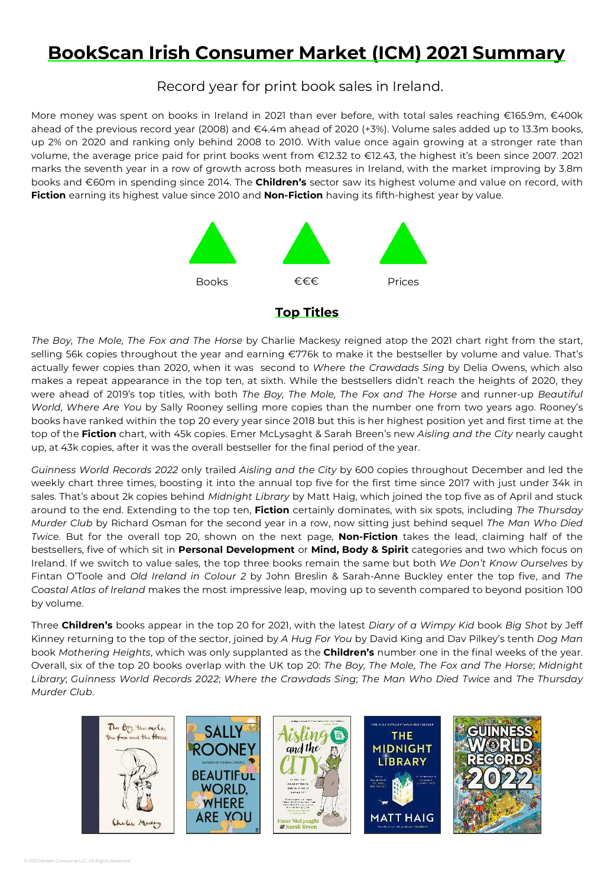# **BookScan Irish Consumer Market (ICM) 2021 Summary**

Record year for print book sales in Ireland.

More money was spent on books in Ireland in 2021 than ever before, with total sales reaching €165.9m, €400k ahead of the previous record year (2008) and €4.4m ahead of 2020 (+3%). Volume sales added up to 13.3m books, up 2% on 2020 and ranking only behind 2008 to 2010. With value once again growing at a stronger rate than volume, the average price paid for print books went from €12.32 to €12.43, the highest it's been since 2007. 2021 marks the seventh year in a row of growth across both measures in Ireland, with the market improving by 3.8m books and €60m in spending since 2014. The **Children's** sector saw its highest volume and value on record, with **Fiction** earning its highest value since 2010 and **Non-Fiction** having its fifth-highest year by value.



## **Top Titles**

*The Boy, The Mole, The Fox and The Horse* by Charlie Mackesy reigned atop the 2021 chart right from the start, selling 56k copies throughout the year and earning €776k to make it the bestseller by volume and value. That's actually fewer copies than 2020, when it was second to *Where the Crawdads Sing* by Delia Owens, which also makes a repeat appearance in the top ten, at sixth. While the bestsellers didn't reach the heights of 2020, they were ahead of 2019's top titles, with both *The Boy, The Mole, The Fox and The Horse* and runner-up *Beautiful World, Where Are You* by Sally Rooney selling more copies than the number one from two years ago. Rooney's books have ranked within the top 20 every year since 2018 but this is her highest position yet and first time at the top of the **Fiction** chart, with 45k copies. Emer McLysaght & Sarah Breen's new *Aisling and the City* nearly caught up, at 43k copies, after it was the overall bestseller for the final period of the year.

*Guinness World Records 2022* only trailed *Aisling and the City* by 600 copies throughout December and led the weekly chart three times, boosting it into the annual top five for the first time since 2017 with just under 34k in sales. That's about 2k copies behind *Midnight Library* by Matt Haig, which joined the top five as of April and stuck around to the end. Extending to the top ten, **Fiction** certainly dominates, with six spots, including *The Thursday Murder Club* by Richard Osman for the second year in a row, now sitting just behind sequel *The Man Who Died Twice*. But for the overall top 20, shown on the next page, **Non-Fiction** takes the lead, claiming half of the bestsellers, five of which sit in **Personal Development** or **Mind, Body & Spirit** categories and two which focus on Ireland. If we switch to value sales, the top three books remain the same but both *We Don't Know Ourselves* by Fintan O'Toole and *Old Ireland in Colour 2* by John Breslin & Sarah-Anne Buckley enter the top five, and *The Coastal Atlas of Ireland* makes the most impressive leap, moving up to seventh compared to beyond position 100 by volume.

Three **Children's** books appear in the top 20 for 2021, with the latest *Diary of a Wimpy Kid* book *Big Shot* by Jeff Kinney returning to the top of the sector, joined by *A Hug For You* by David King and Dav Pilkey's tenth *Dog Man* book *Mothering Heights*, which was only supplanted as the **Children's** number one in the final weeks of the year. Overall, six of the top 20 books overlap with the UK top 20: *The Boy, The Mole, The Fox and The Horse*; *Midnight Library*; *Guinness World Records 2022*; *Where the Crawdads Sing*; *The Man Who Died Twice* and *The Thursday Murder Club*.

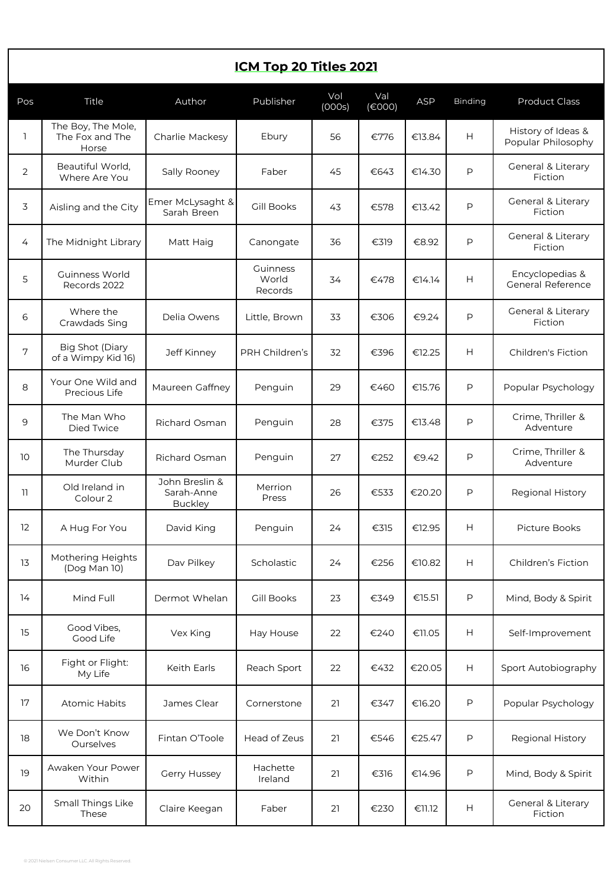# **ICM Top 20 Titles 2021**

| Pos               | Title                                          | Author                                         | Publisher                    | Vol<br>(000s) | Val<br>$(\epsilon$ 000) | <b>ASP</b> | Binding | <b>Product Class</b>                     |
|-------------------|------------------------------------------------|------------------------------------------------|------------------------------|---------------|-------------------------|------------|---------|------------------------------------------|
| $\mathbf{1}$      | The Boy, The Mole,<br>The Fox and The<br>Horse | Charlie Mackesy                                | Ebury                        | 56            | €776                    | €13.84     | H       | History of Ideas &<br>Popular Philosophy |
| $\overline{2}$    | Beautiful World,<br>Where Are You              | Sally Rooney                                   | Faber                        | 45            | €643                    | €14.30     | P       | General & Literary<br>Fiction            |
| 3                 | Aisling and the City                           | Emer McLysaght &<br>Sarah Breen                | Gill Books                   | 43            | €578                    | €13.42     | P       | General & Literary<br>Fiction            |
| 4                 | The Midnight Library                           | Matt Haig                                      | Canongate                    | 36            | €319                    | €8.92      | P       | General & Literary<br>Fiction            |
| 5                 | Guinness World<br>Records 2022                 |                                                | Guinness<br>World<br>Records | 34            | €478                    | €14.14     | H       | Encyclopedias &<br>General Reference     |
| 6                 | Where the<br>Crawdads Sing                     | Delia Owens                                    | Little, Brown                | 33            | €306                    | €9.24      | P       | General & Literary<br>Fiction            |
| 7                 | Big Shot (Diary<br>of a Wimpy Kid 16)          | Jeff Kinney                                    | PRH Children's               | 32            | €396                    | €12.25     | H       | Children's Fiction                       |
| 8                 | Your One Wild and<br>Precious Life             | Maureen Gaffney                                | Penguin                      | 29            | €460                    | €15.76     | P       | Popular Psychology                       |
| 9                 | The Man Who<br>Died Twice                      | <b>Richard Osman</b>                           | Penguin                      | 28            | €375                    | €13.48     | P       | Crime, Thriller &<br>Adventure           |
| 10                | The Thursday<br>Murder Club                    | Richard Osman                                  | Penguin                      | 27            | €252                    | €9.42      | P       | Crime, Thriller &<br>Adventure           |
| 11                | Old Ireland in<br>Colour 2                     | John Breslin &<br>Sarah-Anne<br><b>Buckley</b> | Merrion<br>Press             | 26            | €533                    | €20.20     | P       | Regional History                         |
| $12 \overline{ }$ | A Hug For You                                  | David King                                     | Penguin                      | 24            | €315                    | €12.95     | H       | <b>Picture Books</b>                     |
| 13                | Mothering Heights<br>(Dog Man 10)              | Dav Pilkey                                     | Scholastic                   | 24            | €256                    | €10.82     | H       | Children's Fiction                       |
| 14                | Mind Full                                      | Dermot Whelan                                  | Gill Books                   | 23            | €349                    | €15.51     | P       | Mind, Body & Spirit                      |
| 15                | Good Vibes,<br>Good Life                       | Vex King                                       | Hay House                    | 22            | €240                    | €11.05     | Н       | Self-Improvement                         |
| 16                | Fight or Flight:<br>My Life                    | Keith Earls                                    | Reach Sport                  | 22            | €432                    | €20.05     | Н       | Sport Autobiography                      |
| 17                | Atomic Habits                                  | James Clear                                    | Cornerstone                  | 21            | €347                    | €16.20     | P       | Popular Psychology                       |
| 18                | We Don't Know<br>Ourselves                     | Fintan O'Toole                                 | Head of Zeus                 | 21            | €546                    | €25.47     | P       | Regional History                         |
| 19                | Awaken Your Power<br>Within                    | Gerry Hussey                                   | Hachette<br>Ireland          | 21            | €316                    | €14.96     | P       | Mind, Body & Spirit                      |
| 20                | Small Things Like<br>These                     | Claire Keegan                                  | Faber                        | 21            | €230                    | €11.12     | Н       | General & Literary<br>Fiction            |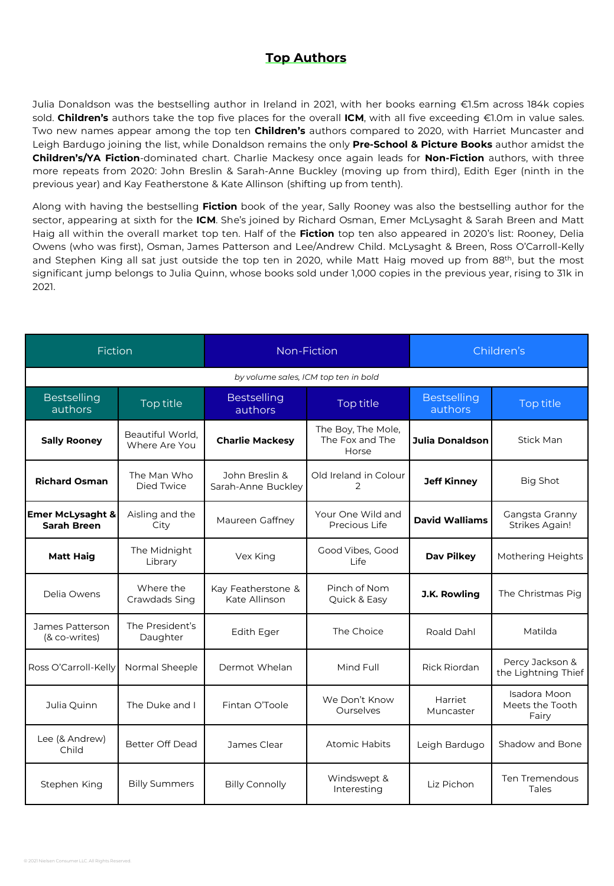# **Top Authors**

Julia Donaldson was the bestselling author in Ireland in 2021, with her books earning €1.5m across 184k copies sold. **Children's** authors take the top five places for the overall **ICM**, with all five exceeding €1.0m in value sales. Two new names appear among the top ten **Children's** authors compared to 2020, with Harriet Muncaster and Leigh Bardugo joining the list, while Donaldson remains the only **Pre-School & Picture Books** author amidst the **Children's/YA Fiction**-dominated chart. Charlie Mackesy once again leads for **Non-Fiction** authors, with three more repeats from 2020: John Breslin & Sarah-Anne Buckley (moving up from third), Edith Eger (ninth in the previous year) and Kay Featherstone & Kate Allinson (shifting up from tenth).

Along with having the bestselling **Fiction** book of the year, Sally Rooney was also the bestselling author for the sector, appearing at sixth for the **ICM**. She's joined by Richard Osman, Emer McLysaght & Sarah Breen and Matt Haig all within the overall market top ten. Half of the **Fiction** top ten also appeared in 2020's list: Rooney, Delia Owens (who was first), Osman, James Patterson and Lee/Andrew Child. McLysaght & Breen, Ross O'Carroll-Kelly and Stephen King all sat just outside the top ten in 2020, while Matt Haig moved up from 88<sup>th</sup>, but the most significant jump belongs to Julia Quinn, whose books sold under 1,000 copies in the previous year, rising to 31k in 2021.

| Fiction                                                                                   |                                   |                                                  | Non-Fiction                                    | Children's                     |                                          |  |  |
|-------------------------------------------------------------------------------------------|-----------------------------------|--------------------------------------------------|------------------------------------------------|--------------------------------|------------------------------------------|--|--|
| by volume sales, ICM top ten in bold                                                      |                                   |                                                  |                                                |                                |                                          |  |  |
| <b>Bestselling</b><br>authors                                                             | Top title                         | <b>Bestselling</b><br>authors                    | Top title                                      | <b>Bestselling</b><br>authors  | Top title                                |  |  |
| <b>Sally Rooney</b>                                                                       | Beautiful World,<br>Where Are You | <b>Charlie Mackesy</b>                           | The Boy, The Mole,<br>The Fox and The<br>Horse | <b>Julia Donaldson</b>         | Stick Man                                |  |  |
| The Man Who<br>John Breslin &<br><b>Richard Osman</b><br>Died Twice<br>Sarah-Anne Buckley |                                   | Old Ireland in Colour<br><b>Jeff Kinney</b><br>2 |                                                | <b>Big Shot</b>                |                                          |  |  |
| <b>Emer McLysaght &amp;</b><br><b>Sarah Breen</b>                                         | Aisling and the<br>City           | Maureen Gaffney                                  | Your One Wild and<br>Precious Life             | <b>David Walliams</b>          | Gangsta Granny<br><b>Strikes Again!</b>  |  |  |
| <b>Matt Haig</b>                                                                          | The Midnight<br>Library           | Vex King                                         | Good Vibes, Good<br>Life                       | Dav Pilkey                     | Mothering Heights                        |  |  |
| Delia Owens                                                                               | Where the<br>Crawdads Sing        | Kay Featherstone &<br>Kate Allinson              | Pinch of Nom<br>J.K. Rowling<br>Quick & Easy   |                                | The Christmas Pig                        |  |  |
| James Patterson<br>(& co-writes)                                                          | The President's<br>Daughter       | <b>Edith Eger</b>                                | The Choice                                     | Roald Dahl                     | Matilda                                  |  |  |
| Ross O'Carroll-Kelly                                                                      | Normal Sheeple                    | Dermot Whelan                                    | Mind Full                                      | Rick Riordan                   | Percy Jackson &<br>the Lightning Thief   |  |  |
| Julia Quinn                                                                               | The Duke and I                    | Fintan O'Toole                                   | We Don't Know<br>Ourselves                     | Harriet<br>Muncaster           | Isadora Moon<br>Meets the Tooth<br>Fairy |  |  |
| Lee (& Andrew)<br>Better Off Dead<br>James Clear<br>Child                                 |                                   | Atomic Habits                                    | Leigh Bardugo                                  | Shadow and Bone                |                                          |  |  |
| <b>Billy Summers</b><br>Stephen King<br><b>Billy Connolly</b>                             |                                   | Windswept &<br>Interesting                       | Liz Pichon                                     | <b>Ten Tremendous</b><br>Tales |                                          |  |  |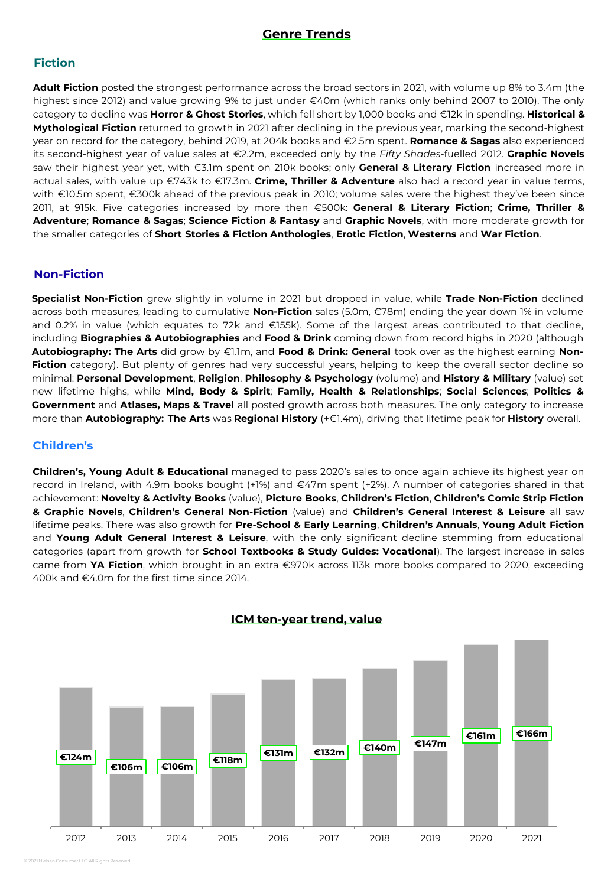## **Genre Trends**

## **Fiction**

**Adult Fiction** posted the strongest performance across the broad sectors in 2021, with volume up 8% to 3.4m (the highest since 2012) and value growing 9% to just under €40m (which ranks only behind 2007 to 2010). The only category to decline was **Horror & Ghost Stories**, which fell short by 1,000 books and €12k in spending. **Historical & Mythological Fiction** returned to growth in 2021 after declining in the previous year, marking the second-highest year on record for the category, behind 2019, at 204k books and €2.5m spent. **Romance & Sagas** also experienced its second-highest year of value sales at €2.2m, exceeded only by the *Fifty Shades*-fuelled 2012. **Graphic Novels** saw their highest year yet, with €3.1m spent on 210k books; only **General & Literary Fiction** increased more in actual sales, with value up €743k to €17.3m. **Crime, Thriller & Adventure** also had a record year in value terms, with €10.5m spent, €300k ahead of the previous peak in 2010; volume sales were the highest they've been since 2011, at 915k. Five categories increased by more then €500k: **General & Literary Fiction**; **Crime, Thriller & Adventure**; **Romance & Sagas**; **Science Fiction & Fantasy** and **Graphic Novels**, with more moderate growth for the smaller categories of **Short Stories & Fiction Anthologies**, **Erotic Fiction**, **Westerns** and **War Fiction**.

#### **Non-Fiction**

**Specialist Non-Fiction** grew slightly in volume in 2021 but dropped in value, while **Trade Non-Fiction** declined across both measures, leading to cumulative **Non-Fiction** sales (5.0m, €78m) ending the year down 1% in volume and 0.2% in value (which equates to 72k and €155k). Some of the largest areas contributed to that decline, including **Biographies & Autobiographies** and **Food & Drink** coming down from record highs in 2020 (although **Autobiography: The Arts** did grow by €1.1m, and **Food & Drink: General** took over as the highest earning **Non-**Fiction category). But plenty of genres had very successful years, helping to keep the overall sector decline so minimal: **Personal Development**, **Religion**, **Philosophy & Psychology** (volume) and **History & Military** (value) set new lifetime highs, while **Mind, Body & Spirit**; **Family, Health & Relationships**; **Social Sciences**; **Politics & Government** and **Atlases, Maps & Travel** all posted growth across both measures. The only category to increase more than **Autobiography: The Arts** was **Regional History** (+€1.4m), driving that lifetime peak for **History** overall.

#### **Children's**

**Children's, Young Adult & Educational** managed to pass 2020's sales to once again achieve its highest year on record in Ireland, with 4.9m books bought (+1%) and €47m spent (+2%). A number of categories shared in that achievement: **Novelty & Activity Books** (value), **Picture Books**, **Children's Fiction**, **Children's Comic Strip Fiction & Graphic Novels**, **Children's General Non-Fiction** (value) and **Children's General Interest & Leisure** all saw lifetime peaks. There was also growth for **Pre-School & Early Learning**, **Children's Annuals**, **Young Adult Fiction** and **Young Adult General Interest & Leisure**, with the only significant decline stemming from educational categories (apart from growth for **School Textbooks & Study Guides: Vocational**). The largest increase in sales came from **YA Fiction**, which brought in an extra €970k across 113k more books compared to 2020, exceeding 400k and €4.0m for the first time since 2014.



**ICM ten-year trend, value**